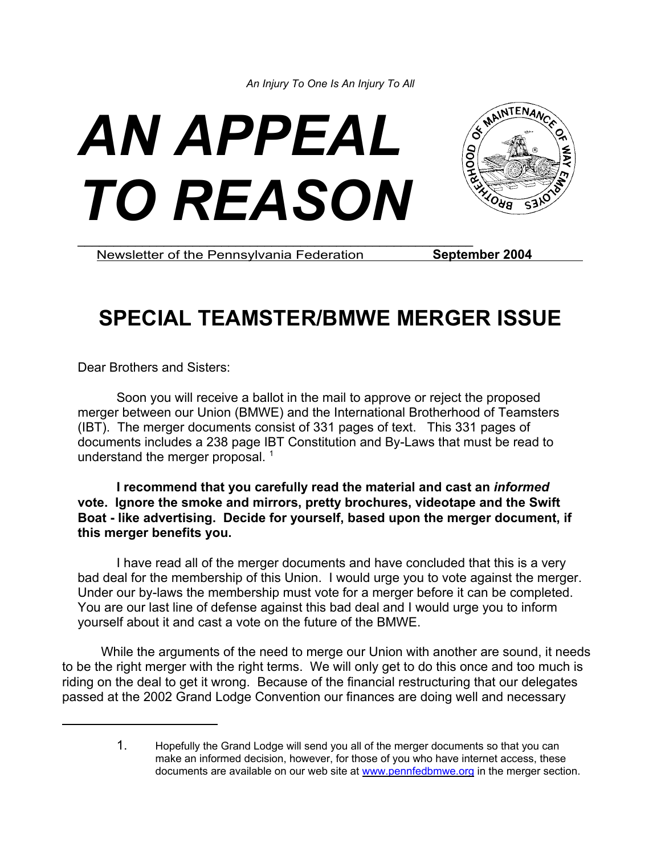



Newsletter of the Pennsylvania Federation **September 2004** 

# **SPECIAL TEAMSTER/BMWE MERGER ISSUE**

Dear Brothers and Sisters:

Soon you will receive a ballot in the mail to approve or reject the proposed merger between our Union (BMWE) and the International Brotherhood of Teamsters (IBT). The merger documents consist of 331 pages of text. This 331 pages of documents includes a 238 page IBT Constitution and By-Laws that must be read to understand the merger proposal.  $<sup>1</sup>$ </sup>

**I recommend that you carefully read the material and cast an** *informed* **vote. Ignore the smoke and mirrors, pretty brochures, videotape and the Swift Boat - like advertising. Decide for yourself, based upon the merger document, if this merger benefits you.** 

I have read all of the merger documents and have concluded that this is a very bad deal for the membership of this Union. I would urge you to vote against the merger. Under our by-laws the membership must vote for a merger before it can be completed. You are our last line of defense against this bad deal and I would urge you to inform yourself about it and cast a vote on the future of the BMWE.

While the arguments of the need to merge our Union with another are sound, it needs to be the right merger with the right terms. We will only get to do this once and too much is riding on the deal to get it wrong. Because of the financial restructuring that our delegates passed at the 2002 Grand Lodge Convention our finances are doing well and necessary

<sup>1.</sup> Hopefully the Grand Lodge will send you all of the merger documents so that you can make an informed decision, however, for those of you who have internet access, these documents are available on our web site at www.pennfedbmwe.org in the merger section.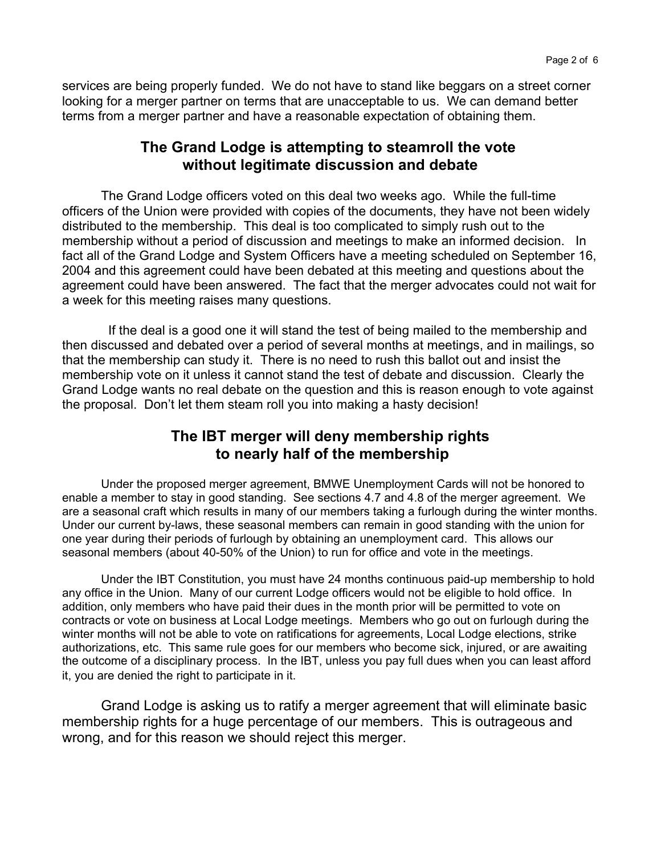services are being properly funded. We do not have to stand like beggars on a street corner looking for a merger partner on terms that are unacceptable to us. We can demand better terms from a merger partner and have a reasonable expectation of obtaining them.

#### **The Grand Lodge is attempting to steamroll the vote without legitimate discussion and debate**

The Grand Lodge officers voted on this deal two weeks ago. While the full-time officers of the Union were provided with copies of the documents, they have not been widely distributed to the membership. This deal is too complicated to simply rush out to the membership without a period of discussion and meetings to make an informed decision. In fact all of the Grand Lodge and System Officers have a meeting scheduled on September 16, 2004 and this agreement could have been debated at this meeting and questions about the agreement could have been answered. The fact that the merger advocates could not wait for a week for this meeting raises many questions.

 If the deal is a good one it will stand the test of being mailed to the membership and then discussed and debated over a period of several months at meetings, and in mailings, so that the membership can study it. There is no need to rush this ballot out and insist the membership vote on it unless it cannot stand the test of debate and discussion. Clearly the Grand Lodge wants no real debate on the question and this is reason enough to vote against the proposal. Don't let them steam roll you into making a hasty decision!

# **The IBT merger will deny membership rights to nearly half of the membership**

Under the proposed merger agreement, BMWE Unemployment Cards will not be honored to enable a member to stay in good standing. See sections 4.7 and 4.8 of the merger agreement. We are a seasonal craft which results in many of our members taking a furlough during the winter months. Under our current by-laws, these seasonal members can remain in good standing with the union for one year during their periods of furlough by obtaining an unemployment card. This allows our seasonal members (about 40-50% of the Union) to run for office and vote in the meetings.

Under the IBT Constitution, you must have 24 months continuous paid-up membership to hold any office in the Union. Many of our current Lodge officers would not be eligible to hold office. In addition, only members who have paid their dues in the month prior will be permitted to vote on contracts or vote on business at Local Lodge meetings. Members who go out on furlough during the winter months will not be able to vote on ratifications for agreements, Local Lodge elections, strike authorizations, etc. This same rule goes for our members who become sick, injured, or are awaiting the outcome of a disciplinary process. In the IBT, unless you pay full dues when you can least afford it, you are denied the right to participate in it.

Grand Lodge is asking us to ratify a merger agreement that will eliminate basic membership rights for a huge percentage of our members. This is outrageous and wrong, and for this reason we should reject this merger.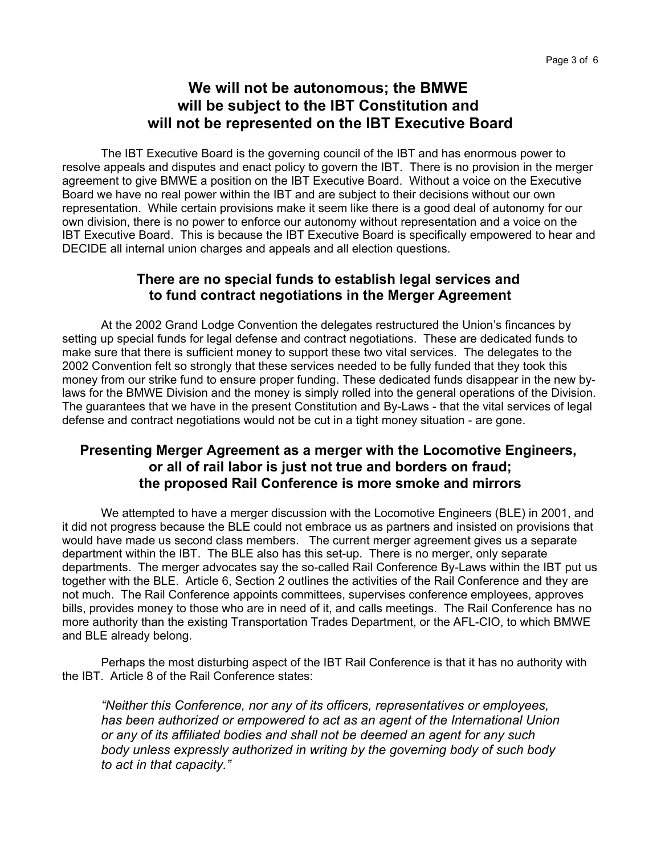# **We will not be autonomous; the BMWE will be subject to the IBT Constitution and will not be represented on the IBT Executive Board**

The IBT Executive Board is the governing council of the IBT and has enormous power to resolve appeals and disputes and enact policy to govern the IBT. There is no provision in the merger agreement to give BMWE a position on the IBT Executive Board. Without a voice on the Executive Board we have no real power within the IBT and are subject to their decisions without our own representation. While certain provisions make it seem like there is a good deal of autonomy for our own division, there is no power to enforce our autonomy without representation and a voice on the IBT Executive Board. This is because the IBT Executive Board is specifically empowered to hear and DECIDE all internal union charges and appeals and all election questions.

#### **There are no special funds to establish legal services and to fund contract negotiations in the Merger Agreement**

At the 2002 Grand Lodge Convention the delegates restructured the Union's fincances by setting up special funds for legal defense and contract negotiations. These are dedicated funds to make sure that there is sufficient money to support these two vital services. The delegates to the 2002 Convention felt so strongly that these services needed to be fully funded that they took this money from our strike fund to ensure proper funding. These dedicated funds disappear in the new bylaws for the BMWE Division and the money is simply rolled into the general operations of the Division. The guarantees that we have in the present Constitution and By-Laws - that the vital services of legal defense and contract negotiations would not be cut in a tight money situation - are gone.

#### **Presenting Merger Agreement as a merger with the Locomotive Engineers, or all of rail labor is just not true and borders on fraud; the proposed Rail Conference is more smoke and mirrors**

We attempted to have a merger discussion with the Locomotive Engineers (BLE) in 2001, and it did not progress because the BLE could not embrace us as partners and insisted on provisions that would have made us second class members. The current merger agreement gives us a separate department within the IBT. The BLE also has this set-up. There is no merger, only separate departments. The merger advocates say the so-called Rail Conference By-Laws within the IBT put us together with the BLE. Article 6, Section 2 outlines the activities of the Rail Conference and they are not much. The Rail Conference appoints committees, supervises conference employees, approves bills, provides money to those who are in need of it, and calls meetings. The Rail Conference has no more authority than the existing Transportation Trades Department, or the AFL-CIO, to which BMWE and BLE already belong.

Perhaps the most disturbing aspect of the IBT Rail Conference is that it has no authority with the IBT. Article 8 of the Rail Conference states:

*"Neither this Conference, nor any of its officers, representatives or employees, has been authorized or empowered to act as an agent of the International Union or any of its affiliated bodies and shall not be deemed an agent for any such body unless expressly authorized in writing by the governing body of such body to act in that capacity."*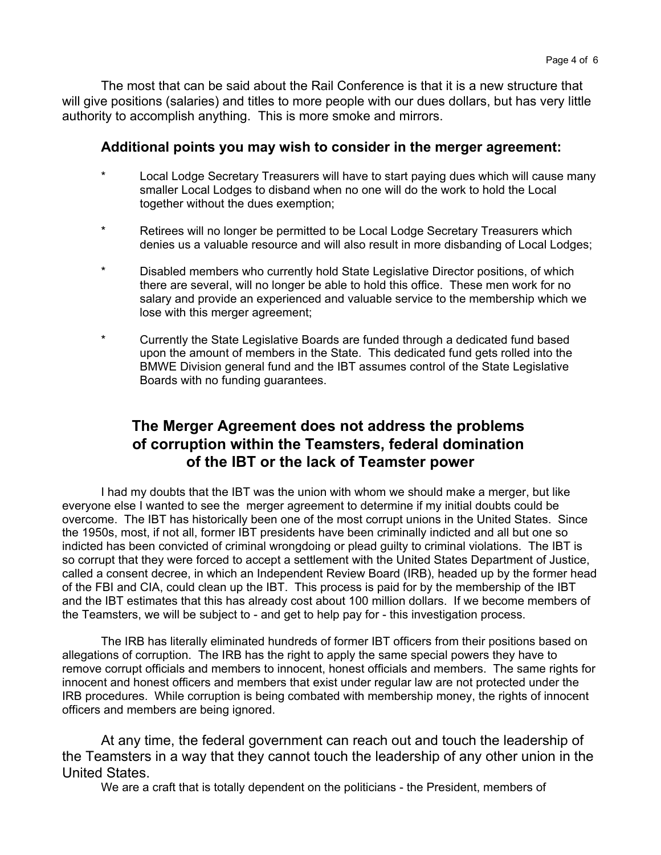The most that can be said about the Rail Conference is that it is a new structure that will give positions (salaries) and titles to more people with our dues dollars, but has very little authority to accomplish anything. This is more smoke and mirrors.

#### **Additional points you may wish to consider in the merger agreement:**

- Local Lodge Secretary Treasurers will have to start paying dues which will cause many smaller Local Lodges to disband when no one will do the work to hold the Local together without the dues exemption;
- \* Retirees will no longer be permitted to be Local Lodge Secretary Treasurers which denies us a valuable resource and will also result in more disbanding of Local Lodges;
- \* Disabled members who currently hold State Legislative Director positions, of which there are several, will no longer be able to hold this office. These men work for no salary and provide an experienced and valuable service to the membership which we lose with this merger agreement;
- \* Currently the State Legislative Boards are funded through a dedicated fund based upon the amount of members in the State. This dedicated fund gets rolled into the BMWE Division general fund and the IBT assumes control of the State Legislative Boards with no funding guarantees.

# **The Merger Agreement does not address the problems of corruption within the Teamsters, federal domination of the IBT or the lack of Teamster power**

I had my doubts that the IBT was the union with whom we should make a merger, but like everyone else I wanted to see the merger agreement to determine if my initial doubts could be overcome. The IBT has historically been one of the most corrupt unions in the United States. Since the 1950s, most, if not all, former IBT presidents have been criminally indicted and all but one so indicted has been convicted of criminal wrongdoing or plead guilty to criminal violations. The IBT is so corrupt that they were forced to accept a settlement with the United States Department of Justice, called a consent decree, in which an Independent Review Board (IRB), headed up by the former head of the FBI and CIA, could clean up the IBT. This process is paid for by the membership of the IBT and the IBT estimates that this has already cost about 100 million dollars. If we become members of the Teamsters, we will be subject to - and get to help pay for - this investigation process.

The IRB has literally eliminated hundreds of former IBT officers from their positions based on allegations of corruption. The IRB has the right to apply the same special powers they have to remove corrupt officials and members to innocent, honest officials and members. The same rights for innocent and honest officers and members that exist under regular law are not protected under the IRB procedures. While corruption is being combated with membership money, the rights of innocent officers and members are being ignored.

At any time, the federal government can reach out and touch the leadership of the Teamsters in a way that they cannot touch the leadership of any other union in the United States.

We are a craft that is totally dependent on the politicians - the President, members of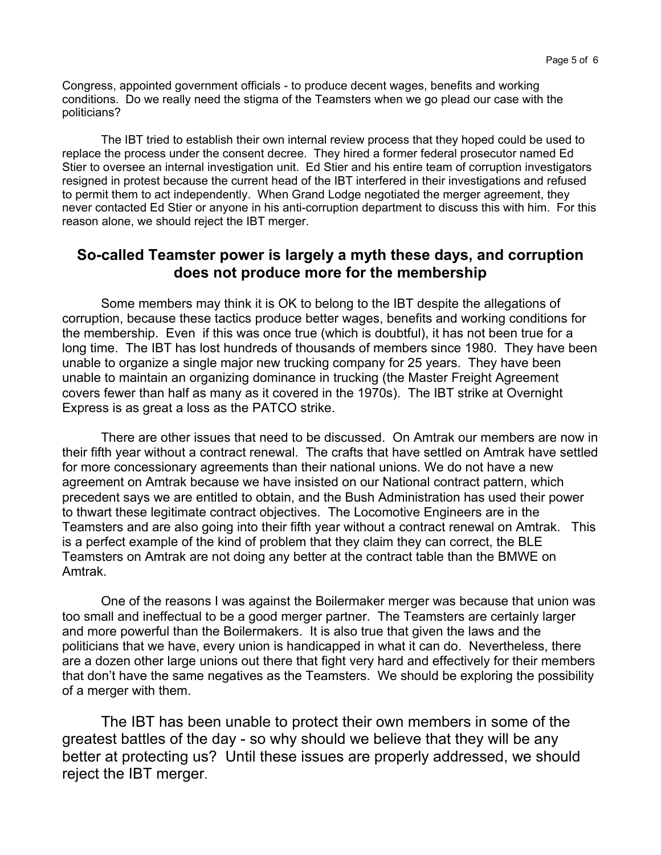Congress, appointed government officials - to produce decent wages, benefits and working conditions. Do we really need the stigma of the Teamsters when we go plead our case with the politicians?

The IBT tried to establish their own internal review process that they hoped could be used to replace the process under the consent decree. They hired a former federal prosecutor named Ed Stier to oversee an internal investigation unit. Ed Stier and his entire team of corruption investigators resigned in protest because the current head of the IBT interfered in their investigations and refused to permit them to act independently. When Grand Lodge negotiated the merger agreement, they never contacted Ed Stier or anyone in his anti-corruption department to discuss this with him. For this reason alone, we should reject the IBT merger.

#### **So-called Teamster power is largely a myth these days, and corruption does not produce more for the membership**

Some members may think it is OK to belong to the IBT despite the allegations of corruption, because these tactics produce better wages, benefits and working conditions for the membership. Even if this was once true (which is doubtful), it has not been true for a long time. The IBT has lost hundreds of thousands of members since 1980. They have been unable to organize a single major new trucking company for 25 years. They have been unable to maintain an organizing dominance in trucking (the Master Freight Agreement covers fewer than half as many as it covered in the 1970s). The IBT strike at Overnight Express is as great a loss as the PATCO strike.

There are other issues that need to be discussed. On Amtrak our members are now in their fifth year without a contract renewal. The crafts that have settled on Amtrak have settled for more concessionary agreements than their national unions. We do not have a new agreement on Amtrak because we have insisted on our National contract pattern, which precedent says we are entitled to obtain, and the Bush Administration has used their power to thwart these legitimate contract objectives. The Locomotive Engineers are in the Teamsters and are also going into their fifth year without a contract renewal on Amtrak. This is a perfect example of the kind of problem that they claim they can correct, the BLE Teamsters on Amtrak are not doing any better at the contract table than the BMWE on Amtrak.

One of the reasons I was against the Boilermaker merger was because that union was too small and ineffectual to be a good merger partner. The Teamsters are certainly larger and more powerful than the Boilermakers. It is also true that given the laws and the politicians that we have, every union is handicapped in what it can do. Nevertheless, there are a dozen other large unions out there that fight very hard and effectively for their members that don't have the same negatives as the Teamsters. We should be exploring the possibility of a merger with them.

The IBT has been unable to protect their own members in some of the greatest battles of the day - so why should we believe that they will be any better at protecting us? Until these issues are properly addressed, we should reject the IBT merger.